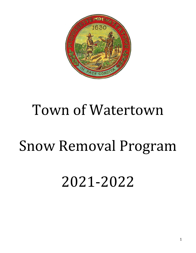

# Town of Watertown

# Snow Removal Program

# 2021-2022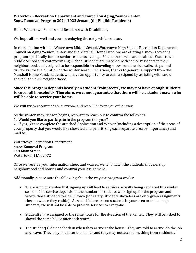## **Watertown Recreation Department and Council on Aging/Senior Center Snow Removal Program 2021-2022 Season (for Eligible Residents)**

Hello, Watertown Seniors and Residents with Disabilities,

We hope all are well and you are enjoying the early winter season.

In coordination with the Watertown Middle School, Watertown High School, Recreation Department, Council on Aging/Senior Center, and the Marshall Home Fund, we are offering a snow-shoveling program specifically for our senior residents over age 60 and those who are disabled. Watertown Middle School and Watertown High School students are matched with senior residents in their neighborhood, and assigned to be responsible for shoveling snow from the sidewalks, steps and driveways for the duration of the winter season. This year, thanks to generous support from the Marshall Home Fund, students will have an opportunity to earn a stipend by assisting with snow shoveling in their neighborhood.

### **Since this program depends heavily on student "volunteers", we may not have enough students to cover all households. Therefore, we cannot guarantee that there will be a student match who will be able to service your home.**

We will try to accommodate everyone and we will inform you either way.

As the winter snow season begins, we want to reach out to confirm the following:

1. Would you like to participate in the program this year?

2. If yes, please complete the attached Application and Waiver (including a description of the areas of your property that you would like shoveled and prioritizing each separate area by importance) and mail to:

Watertown Recreation Department Snow Removal Program 149 Main Street Watertown, MA 02472

Once we receive your information sheet and waiver, we will match the students shovelers by neighborhood and houses and confirm your assignment.

Additionally, please note the following about the way the program works:

- There is no guarantee that signing up will lead to services actually being rendered this winter season. The service depends on the number of students who sign up for the program and where those students reside in town (for safety, students shovelers are only given assignments close to where they reside). As such, if there are no students in your area or not enough students, we will not be able to provide services to everyone.
- Student(s) are assigned to the same house for the duration of the winter. They will be asked to shovel the same house after each storm.
- The student(s) do not check in when they arrive at the house. They are told to arrive, do the job and leave. They may not enter the homes and they may not accept anything from residents.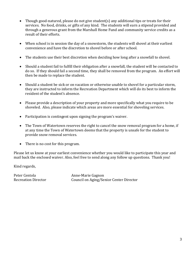- Though good-natured, please do not give student(s) any additional tips or treats for their services. No food, drinks, or gifts of any kind. The students will earn a stipend provided and through a generous grant from the Marshall Home Fund and community service credits as a result of their efforts.
- When school is in session the day of a snowstorm, the students will shovel at their earliest convenience and have the discretion to shovel before or after school.
- The students use their best discretion when deciding how long after a snowfall to shovel.
- Should a student fail to fulfill their obligation after a snowfall, the student will be contacted to do so. If they should fail a second time, they shall be removed from the program. An effort will then be made to replace the student.
- Should a student be sick or on vacation or otherwise unable to shovel for a particular storm, they are instructed to inform the Recreation Department which will do its best to inform the resident of the student's absence.
- Please provide a description of your property and more specifically what you require to be shoveled. Also, please indicate which areas are more essential for shoveling services.
- Participation is contingent upon signing the program's waiver.
- The Town of Watertown reserves the right to cancel the snow removal program for a home, if at any time the Town of Watertown deems that the property is unsafe for the student to provide snow removal services.
- There is no cost for this program.

Please let us know at your earliest convenience whether you would like to participate this year and mail back the enclosed waiver. Also, feel free to send along any follow up questions. Thank you!

Kind regards,

Peter Centola<br>
Recreation Director<br>
Council on Aging/Se Council on Aging/Senior Center Director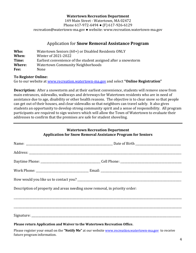### **Watertown Recreation Department**

149 Main Street - Watertown, MA 02472 Phone 617-972-6494 ● (F) 617-926-6129 recreation@watertown-ma.gov ● website: www.recreation.watertown-ma.gov

## Application for **Snow Removal Assistance Program**

| Who:   | Watertown Seniors (60+) or Disabled Residents ONLY             |
|--------|----------------------------------------------------------------|
| When:  | Winter of 2021-2022                                            |
| Time:  | Earliest convenience of the student assigned after a snowstorm |
| Where: | Watertown Community Neighborhoods                              |
| Fee:   | None                                                           |

### **To Register Online:**

Go to our website at [www.recreation.watertown-ma.gov](http://www.recreation.watertown-ma.gov/) and select **"Online Registration"**

**Description:** After a snowstorm and at their earliest convenience, students will remove snow from main entrances, sidewalks, walkways and driveways for Watertown residents who are in need of assistance due to age, disability or other health reasons. The objective is to clear snow so that people can get out of their houses, and clear sidewalks so that neighbors can travel safely. It also gives students an opportunity to develop strong community spirit and a sense of responsibility. All program participants are required to sign waivers which will allow the Town of Watertown to evaluate their addresses to confirm that the premises are safe for student shoveling.

# **Watertown Recreation Department Application for Snow Removal Assistance Program for Seniors** Name: \_\_\_\_\_\_\_\_\_\_\_\_\_\_\_\_\_\_\_\_\_\_\_\_\_\_\_\_\_\_\_\_\_\_\_\_\_\_\_\_\_\_\_\_\_\_\_\_\_\_\_\_\_\_\_\_\_\_\_\_\_ Date of Birth \_\_\_\_\_\_\_\_\_\_\_\_\_\_\_\_\_\_\_\_\_\_\_\_\_\_\_\_\_\_\_\_ Address: \_\_\_\_\_\_\_\_\_\_\_\_\_\_\_\_\_\_\_\_\_\_\_\_\_\_\_\_\_\_\_\_\_\_\_\_\_\_\_\_\_\_\_\_\_\_\_\_\_\_\_\_\_\_\_\_\_\_\_\_\_\_\_\_\_\_\_\_\_\_\_\_\_\_\_\_\_\_\_\_\_\_\_\_\_\_\_\_\_\_\_\_\_\_\_\_\_\_\_\_\_\_\_\_\_\_\_ Daytime Phone: \_\_\_\_\_\_\_\_\_\_\_\_\_\_\_\_\_\_\_\_\_\_\_\_\_\_\_\_\_\_\_\_\_\_\_\_\_\_\_\_\_\_ Cell Phone: \_\_\_\_\_\_\_\_\_\_\_\_\_\_\_\_\_\_\_\_\_\_\_\_\_\_\_\_\_\_\_\_\_\_\_\_\_\_\_\_\_\_\_ Work Phone: The contraction of the contraction of the contraction of the contraction of the contraction of the contraction of the contraction of the contraction of the contraction of the contraction of the contraction of t How would you like us to contact you? \_\_\_\_\_\_\_\_\_\_\_\_\_\_\_\_\_\_\_\_\_\_\_\_\_\_\_\_\_\_\_\_\_\_\_\_\_\_\_\_\_\_\_\_\_\_\_\_\_\_\_\_\_\_\_\_\_\_\_\_\_\_\_\_\_\_\_\_\_\_\_\_\_ Description of property and areas needing snow removal, in priority order: \_\_\_\_\_\_\_\_\_\_\_\_\_\_\_\_\_\_\_\_\_\_\_\_\_\_\_\_\_\_\_\_\_\_\_\_\_\_\_\_\_\_\_\_\_\_\_\_\_\_\_\_\_\_\_\_\_\_\_\_\_\_\_\_\_\_\_\_\_\_\_\_\_\_\_\_\_\_\_\_\_\_\_\_\_\_\_\_\_\_\_\_\_\_\_\_\_\_\_\_\_\_\_\_\_\_\_\_\_\_\_\_\_\_\_\_\_\_ \_\_\_\_\_\_\_\_\_\_\_\_\_\_\_\_\_\_\_\_\_\_\_\_\_\_\_\_\_\_\_\_\_\_\_\_\_\_\_\_\_\_\_\_\_\_\_\_\_\_\_\_\_\_\_\_\_\_\_\_\_\_\_\_\_\_\_\_\_\_\_\_\_\_\_\_\_\_\_\_\_\_\_\_\_\_\_\_\_\_\_\_\_\_\_\_\_\_\_\_\_\_\_\_\_\_\_\_\_\_\_\_\_\_\_\_\_\_  $Signature:$ **Please return Application and Waiver to the Watertown Recreation Office.**

Please register your email on the **"Notify Me"** at our websit[e www.recreation.watertown-ma.gov](http://www.recreation.watertown-ma.gov/) to receive future program information.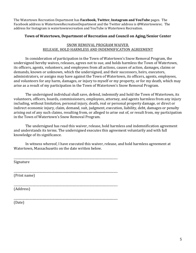The Watertown Recreation Department has **Facebook, Twitter, Instagram and YouTube** pages. The Facebook address is WatertownRecreationDepartment and the Twitter address is @Watertownrec. The address for Instagram is watertownrecreation and YouTube is Watertown Recreation.

### **Town of Watertown, Department of Recreation and Council on Aging/Senior Center**

## SNOW REMOVAL PROGRAM WAIVER. RELEASE, HOLD HARMLESS AND INDEMNIFICATION AGREEMENT

In consideration of participation in the Town of Watertown's Snow Removal Program, the undersigned hereby waives, releases, agrees not to sue, and holds harmless the Town of Watertown, its officers, agents, volunteers, and employees from all actions, causes of action, damages, claims or demands, known or unknown, which the undersigned, and their successors, heirs, executors, administrators, or assigns may have against the Town of Watertown, its officers, agents, employees, and volunteers for any harm, damages, or injury to myself or my property, or for my death, which may arise as a result of my participation in the Town of Watertown's Snow Removal Program.

The undersigned individual shall save, defend, indemnify and hold the Town of Watertown, its volunteers, officers, boards, commissioners, employees, attorney, and agents harmless from any injury including, without limitation, personal injury, death, real or personal property damage, or direct or indirect economic injury, claim, demand, suit, judgment, execution, liability, debt, damages or penalty arising out of any such claims, resulting from, or alleged to arise out of, or result from, my participation in the Town of Watertown's Snow Removal Program.

The undersigned has read this waiver, release, hold harmless and indemnification agreement and understands its terms. The undersigned executes this agreement voluntarily and with full knowledge of its significance.

In witness whereof, I have executed this waiver, release, and hold harmless agreement at Watertown, Massachusetts on the date written below.

\_\_\_\_\_\_\_\_\_\_\_\_\_\_\_\_\_\_\_\_\_\_\_\_\_\_\_\_\_\_\_\_\_\_\_\_\_\_\_\_\_\_\_\_\_\_\_\_\_\_\_\_\_\_\_\_\_\_\_\_\_\_\_\_\_\_\_\_\_\_\_\_\_ Signature

\_\_\_\_\_\_\_\_\_\_\_\_\_\_\_\_\_\_\_\_\_\_\_\_\_\_\_\_\_\_\_\_\_\_\_\_\_\_\_\_\_\_\_\_\_\_\_\_\_\_\_\_\_\_\_\_\_\_\_\_\_\_\_\_\_\_\_\_\_\_\_\_\_ (Print name)

\_\_\_\_\_\_\_\_\_\_\_\_\_\_\_\_\_\_\_\_\_\_\_\_\_\_\_\_\_\_\_\_\_\_\_\_\_\_\_\_\_\_\_\_\_\_\_\_\_\_\_\_\_\_\_\_\_\_\_\_\_\_\_\_\_\_\_\_\_\_\_\_\_ (Address)

\_\_\_\_\_\_\_\_\_\_\_\_\_\_\_\_\_\_\_\_\_\_\_\_\_\_\_\_\_\_\_\_\_\_\_\_\_\_\_\_\_\_\_\_\_\_\_\_\_\_\_\_\_\_\_\_\_\_\_\_\_\_\_\_\_\_\_\_\_\_\_\_\_ (Date)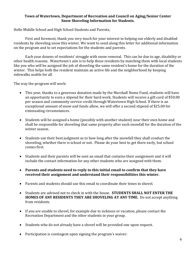### **Town of Watertown, Department of Recreation and Council on Aging/Senior Center Snow Shoveling Information for Students.**

Hello Middle School and High School Students and Parents,

First and foremost, thank you very much for your interest in helping our elderly and disabled residents by shoveling snow this winter. We want to send along this letter for additional information on the program and to set expectations for the students and parents.

Each year dozens of residents' struggle with snow removal. This can be due to age, disability or other health reasons. Watertown's aim is to help these residents by matching them with local students like you who will be assigned the job of shoveling the same resident's home for the duration of the winter. This helps both the resident maintain an active life and the neighborhood by keeping sidewalks usable for all.

The way the program will work:

- This year, thanks to a generous donation made by the Marshall Home Fund, students will have an opportunity to earn a stipend for their hard work. Students will receive a gift card of \$50.00 per season and community service credit through Watertown High School. If there is an exceptional amount of snow and funds allow, we will offer a second stipend of \$25.00 for extenuating circumstances.
- Students will be assigned a home (possibly with another student) near their own home and shall be responsible for shoveling that same property after each snowfall for the duration of the winter season.
- Students use their best judgment as to how long after the snowfall they shall conduct the shoveling, whether there is school or not. Please do your best to get there early, but school comes first.
- Students and their parents will be sent an email that contains their assignment and it will include the contact information for any other students who are assigned with them.
- **Parents and students need to reply to this initial email to confirm that they have received their assignment and understand their responsibilities this winter.**
- Parents and students should use this email to coordinate their times to shovel.
- Students are advised not to check in with the house. **STUDENTS SHALL NOT ENTER THE HOMES OF ANY RESIDENTS THEY ARE SHOVELING AT ANY TIME.** Do not accept anything from residents.
- If you are unable to shovel, for example due to sickness or vacation, please contact the Recreation Department and the other students in your group.
- Students who do not already have a shovel will be provided one upon request.
- Participation is contingent upon signing the program's waiver.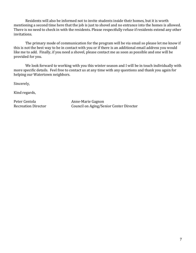Residents will also be informed not to invite students inside their homes, but it is worth mentioning a second time here that the job is just to shovel and no entrance into the homes is allowed. There is no need to check in with the residents. Please respectfully refuse if residents extend any other invitations.

The primary mode of communication for the program will be via email so please let me know if this is not the best way to be in contact with you or if there is an additional email address you would like me to add. Finally, if you need a shovel, please contact me as soon as possible and one will be provided for you.

We look forward to working with you this winter season and I will be in touch individually with more specific details. Feel free to contact us at any time with any questions and thank you again for helping our Watertown neighbors.

Sincerely,

Kind regards,

Peter Centola<br>
Recreation Director<br>
Council on Aging/Se Council on Aging/Senior Center Director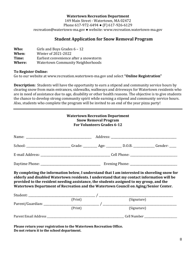### **Watertown Recreation Department**

149 Main Street - Watertown, MA 02472 Phone 617-972-6494 ● (F) 617-926-6129 recreation@watertown-ma.gov ● website: www.recreation.watertown-ma.gov

## **Student Application for Snow Removal Program**

| Girls and Boys Grades $6 - 12$           |
|------------------------------------------|
| Winter of 2021-2022                      |
| Earliest convenience after a snowstorm   |
| <b>Watertown Community Neighborhoods</b> |
|                                          |

### **To Register Online:**

Go to our website at www.recreation.watertown-ma.gov and select **"Online Registration"**

**Description:** Students will have the opportunity to earn a stipend and community service hours by clearing snow from main entrances, sidewalks, walkways and driveways for Watertown residents who are in need of assistance due to age, disability or other health reasons. The objective is to give students the chance to develop strong community spirit while earning a stipend and community service hours. Also, students who complete the program will be invited to an end of the year pizza party!

| <b>Watertown Recreation Department</b><br><b>Snow Removal Program</b><br><b>For Volunteers Grades 6-12</b>                                                                                                                                                                                                                                                                    |         |         |             |  |  |
|-------------------------------------------------------------------------------------------------------------------------------------------------------------------------------------------------------------------------------------------------------------------------------------------------------------------------------------------------------------------------------|---------|---------|-------------|--|--|
|                                                                                                                                                                                                                                                                                                                                                                               |         |         |             |  |  |
| School: _________________________Grade: _________ Age: _________ D.O.B. ____________ Gender: _____                                                                                                                                                                                                                                                                            |         |         |             |  |  |
|                                                                                                                                                                                                                                                                                                                                                                               |         |         |             |  |  |
|                                                                                                                                                                                                                                                                                                                                                                               |         |         |             |  |  |
| By completing the information below, I understand that I am interested in shoveling snow for<br>elderly and disabled Watertown residents. I understand that my contact information will be<br>provided to the resident needing assistance, the students assigned to my group, and the<br>Watertown Department of Recreation and the Watertown Council on Aging/Senior Center. |         |         |             |  |  |
|                                                                                                                                                                                                                                                                                                                                                                               |         |         |             |  |  |
|                                                                                                                                                                                                                                                                                                                                                                               |         | (Print) | (Signature) |  |  |
|                                                                                                                                                                                                                                                                                                                                                                               | (Print) |         | (Signature) |  |  |
|                                                                                                                                                                                                                                                                                                                                                                               |         |         |             |  |  |

**Please return your registration to the Watertown Recreation Office. Do not return it to the school department.**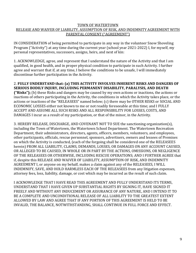### TOWN OF WATERTOWN RELEASE AND WAIVER OF LIABILITY, ASSUMPTION OF RISK, AND INDEMNITY AGREEMENT WITH PARENTAL CONSENT ("AGREEMENT")

IN CONSIDERATION of being permitted to participate in any way in the volunteer Snow Shoveling Program ("Activity") at any time during the current year (school year 2021-2022) I, for myself, my personal representatives, successors, assigns, heirs, and next of kin:

1. ACKNOWLEDGE, agree, and represent that I understand the nature of the Activity and that I am qualified, in good health, and in proper physical condition to participate in such Activity. I further agree and warrant that if, at any time, I believe the conditions to be unsafe, I will immediately discontinue further participation in the Activity.

2. **FULLY UNDERSTAND that: (a) THIS ACTIVITY INVOLVES INHERENT RISKS AND DANGERS OF SERIOUS BODILY INJURY, INCLUDING PERMANENT DISABILITY, PARALYSIS, AND DEATH ("Risks");** (b) these Risks and dangers may be caused by my own actions or inactions, the actions or inactions of others participating in the Activity, the conditions in which the Activity takes place, or the actions or inactions of the "RELEASEES" named below; (c) there may be OTHER RISKS or SOCIAL AND ECONOMIC LOSSES either not known to me or not readily foreseeable at this time; and I FULLY ACCEPT AND ASSUME ALL SUCH RISKS AND ALL RESPONSIBILITY FOR LOSSES, COSTS, AND DAMAGES I incur as a result of my participation, or that of the minor, in the Activity.

3. HEREBY RELEASE, DISCHARGE, AND COVENANT NOT TO SUE the sanctioning organization(s), including the Town of Watertown, the Watertown School Department. The Watertown Recreation Department, their administrators, directors, agents, officers, members, volunteers, and employees, other participants, officials, rescue personnel, sponsors, advertisers, owners and lessees of Premises on which the Activity is conducted, (each of the forgoing shall be considered one of the RELEASEES herein) FROM ALL LIABILITY, CLAIMS, DEMANDS, LOSSES, OR DAMAGES ON ANY ACCOUNT CAUSED, OR ALLEGED TO BE CAUSED, IN WHOLE OR IN PART BY THE ACTIONS, OMISSIONS, OR NEGLIGENCE OF THE RELEASEES OR OTHERWISE, INCLUDING RESCUE OPERATIONS; AND I FURTHER AGREE that if, despite this RELEASE AND WAIVER OF LIABILITY, ASSUMPTION OF RISK, AND INDEMNITY AGREEMENT I, or anyone on my behalf, makes a claim against any of the RELEASEES, I WILL INDEMNIFY, SAVE, AND HOLD HARMLESS EACH OF THE RELEASEES from any litigation expenses, attorney fees, loss, liability, damage, or cost which may be incurred as the result of such claim.

I ACKNOWLEDGE THAT I HAVE READ THIS AGREEMENT AND FULLY UNDERSTAND ITS TERMS, UNDERSTAND THAT I HAVE GIVEN UP SUBSTANTIAL RIGHTS BY SIGNING IT, HAVE SIGNED IT FREELY AND WITHOUT ANY INDUCEMENT OR ASSURANCE OF ANY NATURE, AND I INTEND IT TO BE A COMPLETE AND UNCONDITIONAL RELEASE OF ALL LIABILITY TO THE GREATEST EXTENT ALLOWED BY LAW AND AGREE THAT IF ANY PORTION OF THIS AGREEMENT IS HELD TO BE INVALID, THE BALANCE, NOTWITHSTANDING, SHALL CONTINUE IN FULL FORCE AND EFFECT.